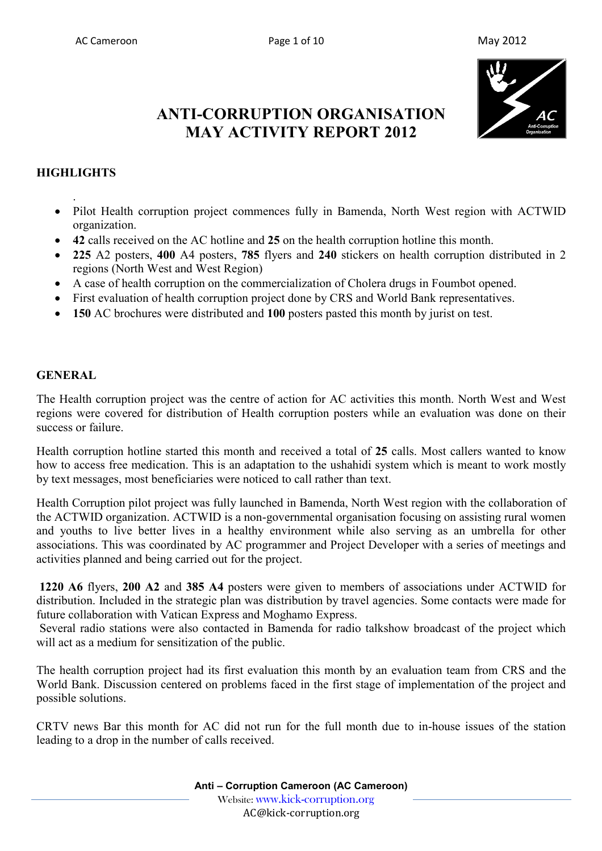

# **ANTI-CORRUPTION ORGANISATION MAY ACTIVITY REPORT 2012**

# **HIGHLIGHTS**

.

- Pilot Health corruption project commences fully in Bamenda, North West region with ACTWID organization.
- **42** calls received on the AC hotline and **25** on the health corruption hotline this month.
- **225** A2 posters, **400** A4 posters, **785** flyers and **240** stickers on health corruption distributed in 2 regions (North West and West Region)
- A case of health corruption on the commercialization of Cholera drugs in Foumbot opened.
- First evaluation of health corruption project done by CRS and World Bank representatives.
- **150** AC brochures were distributed and **100** posters pasted this month by jurist on test.

#### **GENERAL**

The Health corruption project was the centre of action for AC activities this month. North West and West regions were covered for distribution of Health corruption posters while an evaluation was done on their success or failure.

Health corruption hotline started this month and received a total of **25** calls. Most callers wanted to know how to access free medication. This is an adaptation to the ushahidi system which is meant to work mostly by text messages, most beneficiaries were noticed to call rather than text.

Health Corruption pilot project was fully launched in Bamenda, North West region with the collaboration of the ACTWID organization. ACTWID is a non-governmental organisation focusing on assisting rural women and youths to live better lives in a healthy environment while also serving as an umbrella for other associations. This was coordinated by AC programmer and Project Developer with a series of meetings and activities planned and being carried out for the project.

 **1220 A6** flyers, **200 A2** and **385 A4** posters were given to members of associations under ACTWID for distribution. Included in the strategic plan was distribution by travel agencies. Some contacts were made for future collaboration with Vatican Express and Moghamo Express.

 Several radio stations were also contacted in Bamenda for radio talkshow broadcast of the project which will act as a medium for sensitization of the public.

The health corruption project had its first evaluation this month by an evaluation team from CRS and the World Bank. Discussion centered on problems faced in the first stage of implementation of the project and possible solutions.

CRTV news Bar this month for AC did not run for the full month due to in-house issues of the station leading to a drop in the number of calls received.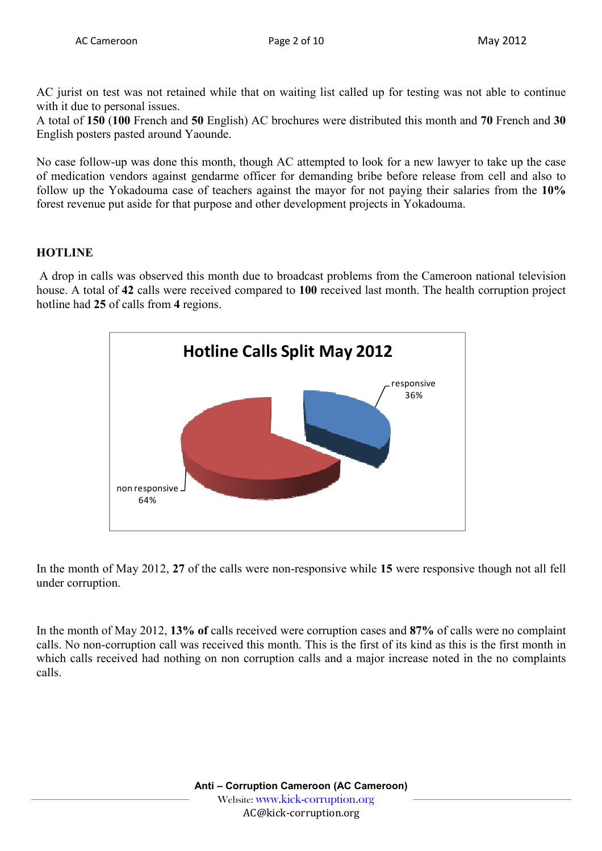AC jurist on test was not retained while that on waiting list called up for testing was not able to continue with it due to personal issues.

A total of **150** (**100** French and **50** English) AC brochures were distributed this month and **70** French and **30** English posters pasted around Yaounde.

No case follow-up was done this month, though AC attempted to look for a new lawyer to take up the case of medication vendors against gendarme officer for demanding bribe before release from cell and also to follow up the Yokadouma case of teachers against the mayor for not paying their salaries from the **10%** forest revenue put aside for that purpose and other development projects in Yokadouma.

## **HOTLINE**

 A drop in calls was observed this month due to broadcast problems from the Cameroon national television house. A total of **42** calls were received compared to **100** received last month. The health corruption project hotline had **25** of calls from **4** regions.



In the month of May 2012, **27** of the calls were non-responsive while **15** were responsive though not all fell under corruption.

In the month of May 2012, **13% of** calls received were corruption cases and **87%** of calls were no complaint calls. No non-corruption call was received this month. This is the first of its kind as this is the first month in which calls received had nothing on non corruption calls and a major increase noted in the no complaints calls.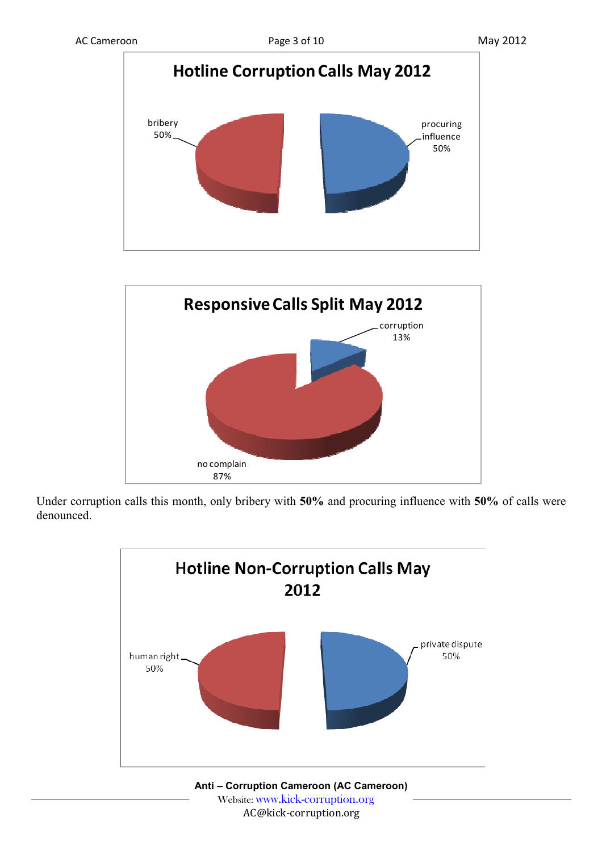



Under corruption calls this month, only bribery with **50%** and procuring influence with **50%** of calls were denounced.



 Website: www.kick-corruption.org AC@kick-corruption.org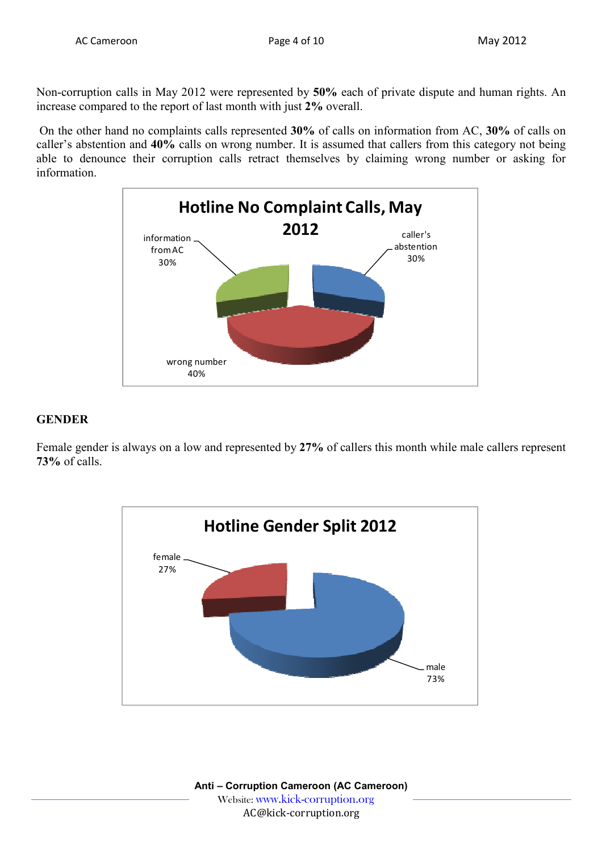Non-corruption calls in May 2012 were represented by **50%** each of private dispute and human rights. An increase compared to the report of last month with just **2%** overall.

 On the other hand no complaints calls represented **30%** of calls on information from AC, **30%** of calls on caller's abstention and **40%** calls on wrong number. It is assumed that callers from this category not being able to denounce their corruption calls retract themselves by claiming wrong number or asking for information.



## **GENDER**

Female gender is always on a low and represented by **27%** of callers this month while male callers represent **73%** of calls.

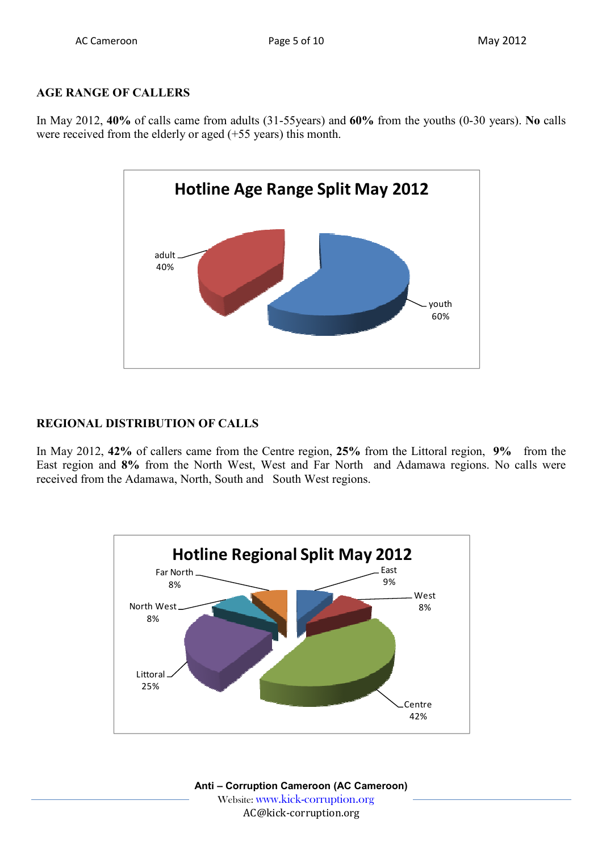# **AGE RANGE OF CALLERS**

In May 2012, **40%** of calls came from adults (31-55years) and **60%** from the youths (0-30 years). **No** calls were received from the elderly or aged (+55 years) this month.



# **REGIONAL DISTRIBUTION OF CALLS**

In May 2012, **42%** of callers came from the Centre region, **25%** from the Littoral region, **9%** from the East region and **8%** from the North West, West and Far North and Adamawa regions. No calls were received from the Adamawa, North, South and South West regions.

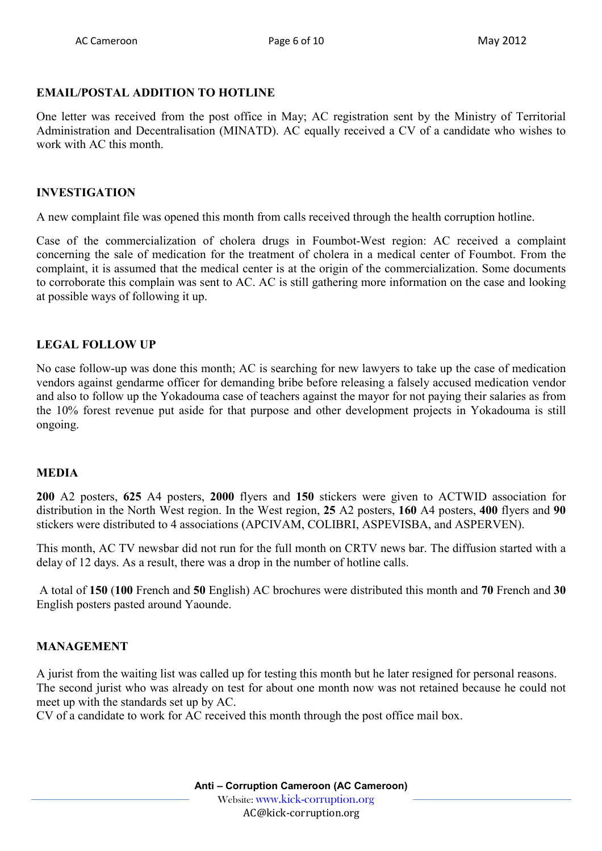## **EMAIL/POSTAL ADDITION TO HOTLINE**

One letter was received from the post office in May; AC registration sent by the Ministry of Territorial Administration and Decentralisation (MINATD). AC equally received a CV of a candidate who wishes to work with AC this month.

#### **INVESTIGATION**

A new complaint file was opened this month from calls received through the health corruption hotline.

Case of the commercialization of cholera drugs in Foumbot-West region: AC received a complaint concerning the sale of medication for the treatment of cholera in a medical center of Foumbot. From the complaint, it is assumed that the medical center is at the origin of the commercialization. Some documents to corroborate this complain was sent to AC. AC is still gathering more information on the case and looking at possible ways of following it up.

## **LEGAL FOLLOW UP**

No case follow-up was done this month; AC is searching for new lawyers to take up the case of medication vendors against gendarme officer for demanding bribe before releasing a falsely accused medication vendor and also to follow up the Yokadouma case of teachers against the mayor for not paying their salaries as from the 10% forest revenue put aside for that purpose and other development projects in Yokadouma is still ongoing.

#### **MEDIA**

**200** A2 posters, **625** A4 posters, **2000** flyers and **150** stickers were given to ACTWID association for distribution in the North West region. In the West region, **25** A2 posters, **160** A4 posters, **400** flyers and **90** stickers were distributed to 4 associations (APCIVAM, COLIBRI, ASPEVISBA, and ASPERVEN).

This month, AC TV newsbar did not run for the full month on CRTV news bar. The diffusion started with a delay of 12 days. As a result, there was a drop in the number of hotline calls.

 A total of **150** (**100** French and **50** English) AC brochures were distributed this month and **70** French and **30** English posters pasted around Yaounde.

## **MANAGEMENT**

A jurist from the waiting list was called up for testing this month but he later resigned for personal reasons. The second jurist who was already on test for about one month now was not retained because he could not meet up with the standards set up by AC.

CV of a candidate to work for AC received this month through the post office mail box.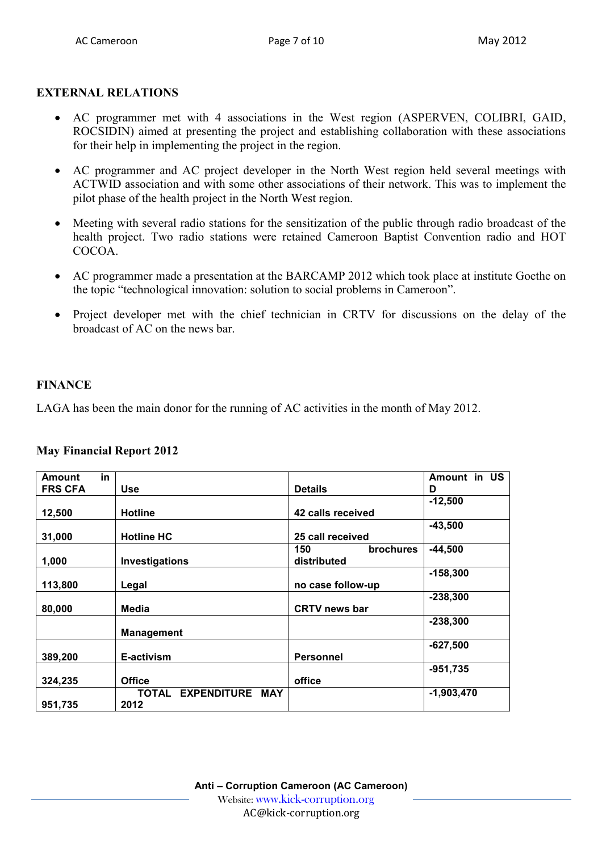# **EXTERNAL RELATIONS**

- AC programmer met with 4 associations in the West region (ASPERVEN, COLIBRI, GAID, ROCSIDIN) aimed at presenting the project and establishing collaboration with these associations for their help in implementing the project in the region.
- AC programmer and AC project developer in the North West region held several meetings with ACTWID association and with some other associations of their network. This was to implement the pilot phase of the health project in the North West region.
- Meeting with several radio stations for the sensitization of the public through radio broadcast of the health project. Two radio stations were retained Cameroon Baptist Convention radio and HOT COCOA.
- AC programmer made a presentation at the BARCAMP 2012 which took place at institute Goethe on the topic "technological innovation: solution to social problems in Cameroon".
- Project developer met with the chief technician in CRTV for discussions on the delay of the broadcast of AC on the news bar.

# **FINANCE**

LAGA has been the main donor for the running of AC activities in the month of May 2012.

#### **May Financial Report 2012**

| in<br><b>Amount</b> |                                 |                         | Amount in US |
|---------------------|---------------------------------|-------------------------|--------------|
| <b>FRS CFA</b>      | <b>Use</b>                      | <b>Details</b>          | D            |
|                     |                                 |                         | $-12,500$    |
| 12,500              | <b>Hotline</b>                  | 42 calls received       |              |
|                     |                                 |                         | $-43,500$    |
| 31,000              | <b>Hotline HC</b>               | 25 call received        |              |
|                     |                                 | 150<br><b>brochures</b> | $-44,500$    |
| 1,000               | Investigations                  | distributed             |              |
|                     |                                 |                         | $-158,300$   |
| 113,800             | Legal                           | no case follow-up       |              |
|                     |                                 |                         | $-238,300$   |
| 80,000              | Media                           | <b>CRTV</b> news bar    |              |
|                     |                                 |                         | $-238,300$   |
|                     | <b>Management</b>               |                         |              |
|                     |                                 |                         | $-627,500$   |
| 389,200             | E-activism                      | <b>Personnel</b>        |              |
|                     |                                 |                         | $-951,735$   |
| 324,235             | <b>Office</b>                   | office                  |              |
|                     | <b>EXPENDITURE MAY</b><br>TOTAL |                         | $-1,903,470$ |
| 951,735             | 2012                            |                         |              |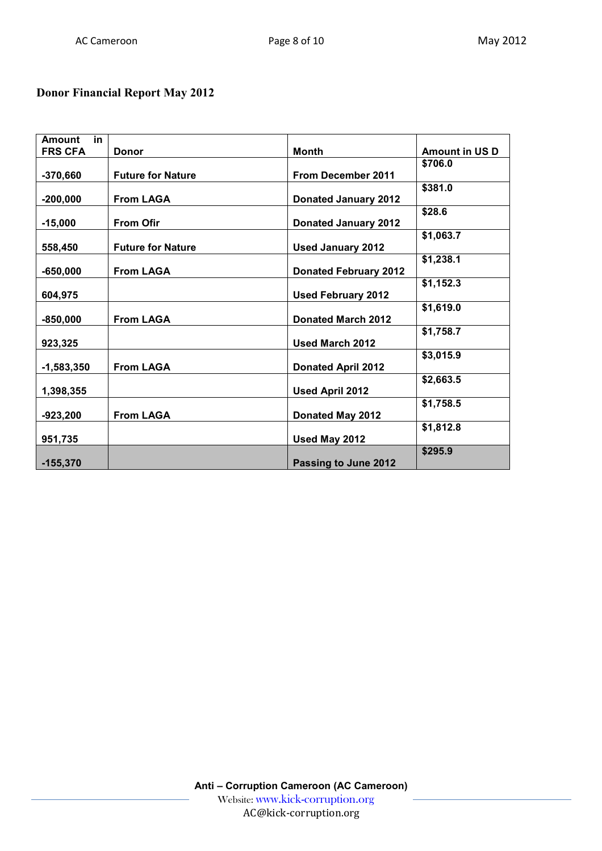# **Donor Financial Report May 2012**

| in<br><b>Amount</b> |                          |                              |                       |
|---------------------|--------------------------|------------------------------|-----------------------|
| <b>FRS CFA</b>      | <b>Donor</b>             | <b>Month</b>                 | <b>Amount in US D</b> |
|                     |                          |                              | \$706.0               |
| $-370,660$          | <b>Future for Nature</b> | From December 2011           |                       |
|                     |                          |                              | \$381.0               |
| $-200,000$          | <b>From LAGA</b>         | <b>Donated January 2012</b>  |                       |
|                     |                          |                              | \$28.6                |
| $-15,000$           | <b>From Ofir</b>         | <b>Donated January 2012</b>  |                       |
|                     |                          |                              | \$1,063.7             |
| 558,450             | <b>Future for Nature</b> | <b>Used January 2012</b>     |                       |
|                     |                          |                              | \$1,238.1             |
| $-650,000$          | <b>From LAGA</b>         | <b>Donated February 2012</b> |                       |
|                     |                          |                              | \$1,152.3             |
| 604,975             |                          | <b>Used February 2012</b>    |                       |
|                     |                          |                              | \$1,619.0             |
| $-850,000$          | <b>From LAGA</b>         | <b>Donated March 2012</b>    |                       |
|                     |                          |                              | \$1,758.7             |
| 923,325             |                          | <b>Used March 2012</b>       |                       |
|                     |                          |                              | \$3,015.9             |
| $-1,583,350$        | <b>From LAGA</b>         | <b>Donated April 2012</b>    |                       |
|                     |                          |                              | \$2,663.5             |
| 1,398,355           |                          | Used April 2012              |                       |
|                     |                          |                              | \$1,758.5             |
| $-923,200$          | <b>From LAGA</b>         | Donated May 2012             |                       |
|                     |                          |                              | \$1,812.8             |
| 951,735             |                          | Used May 2012                |                       |
|                     |                          |                              | \$295.9               |
| $-155,370$          |                          | Passing to June 2012         |                       |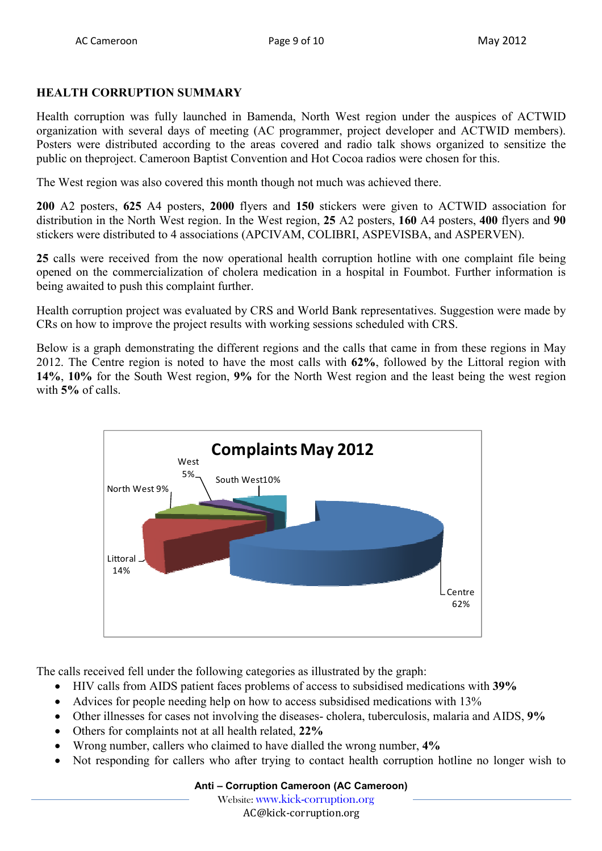# **HEALTH CORRUPTION SUMMARY**

Health corruption was fully launched in Bamenda, North West region under the auspices of ACTWID organization with several days of meeting (AC programmer, project developer and ACTWID members). Posters were distributed according to the areas covered and radio talk shows organized to sensitize the public on theproject. Cameroon Baptist Convention and Hot Cocoa radios were chosen for this.

The West region was also covered this month though not much was achieved there.

**200** A2 posters, **625** A4 posters, **2000** flyers and **150** stickers were given to ACTWID association for distribution in the North West region. In the West region, **25** A2 posters, **160** A4 posters, **400** flyers and **90** stickers were distributed to 4 associations (APCIVAM, COLIBRI, ASPEVISBA, and ASPERVEN).

**25** calls were received from the now operational health corruption hotline with one complaint file being opened on the commercialization of cholera medication in a hospital in Foumbot. Further information is being awaited to push this complaint further.

Health corruption project was evaluated by CRS and World Bank representatives. Suggestion were made by CRs on how to improve the project results with working sessions scheduled with CRS.

Below is a graph demonstrating the different regions and the calls that came in from these regions in May 2012. The Centre region is noted to have the most calls with **62%**, followed by the Littoral region with **14%**, **10%** for the South West region, **9%** for the North West region and the least being the west region with **5%** of calls.



The calls received fell under the following categories as illustrated by the graph:

- HIV calls from AIDS patient faces problems of access to subsidised medications with **39%**
- Advices for people needing help on how to access subsidised medications with 13%
- Other illnesses for cases not involving the diseases- cholera, tuberculosis, malaria and AIDS, **9%**
- Others for complaints not at all health related, **22%**
- Wrong number, callers who claimed to have dialled the wrong number, **4%**
- Not responding for callers who after trying to contact health corruption hotline no longer wish to

Website: www.kick-corruption.org

AC@kick-corruption.org